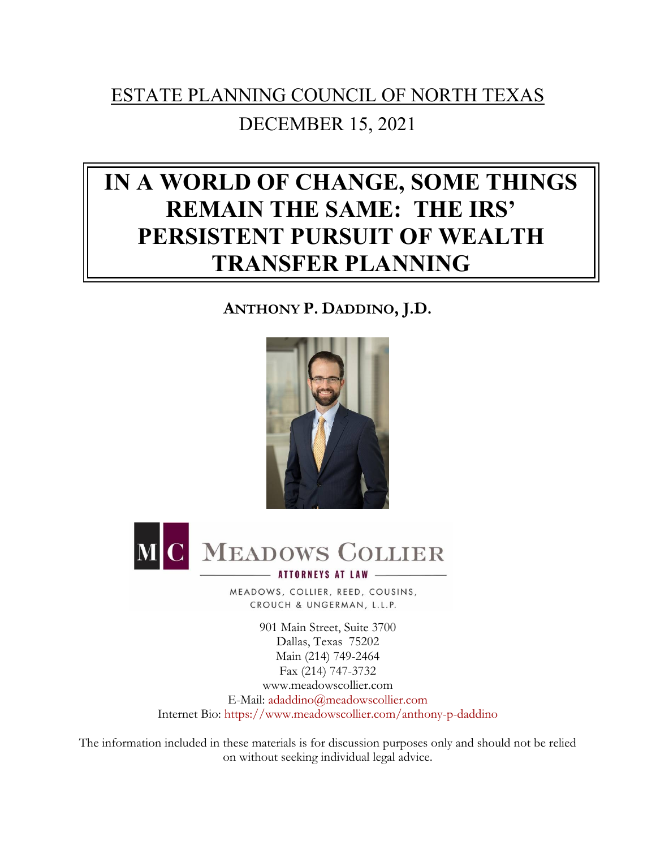# ESTATE PLANNING COUNCIL OF NORTH TEXAS DECEMBER 15, 2021

# **IN A WORLD OF CHANGE, SOME THINGS REMAIN THE SAME: THE IRS' PERSISTENT PURSUIT OF WEALTH TRANSFER PLANNING**

## **ANTHONY P. DADDINO, J.D.**





MEADOWS, COLLIER, REED, COUSINS, CROUCH & UNGERMAN, L.L.P.

901 Main Street, Suite 3700 Dallas, Texas 75202 Main (214) 749-2464 Fax (214) 747-3732 www.meadowscollier.com E-Mail: [adaddino@meadowscollier.com](mailto:adaddino@meadowscollier.com) Internet Bio: <https://www.meadowscollier.com/anthony-p-daddino>

The information included in these materials is for discussion purposes only and should not be relied on without seeking individual legal advice.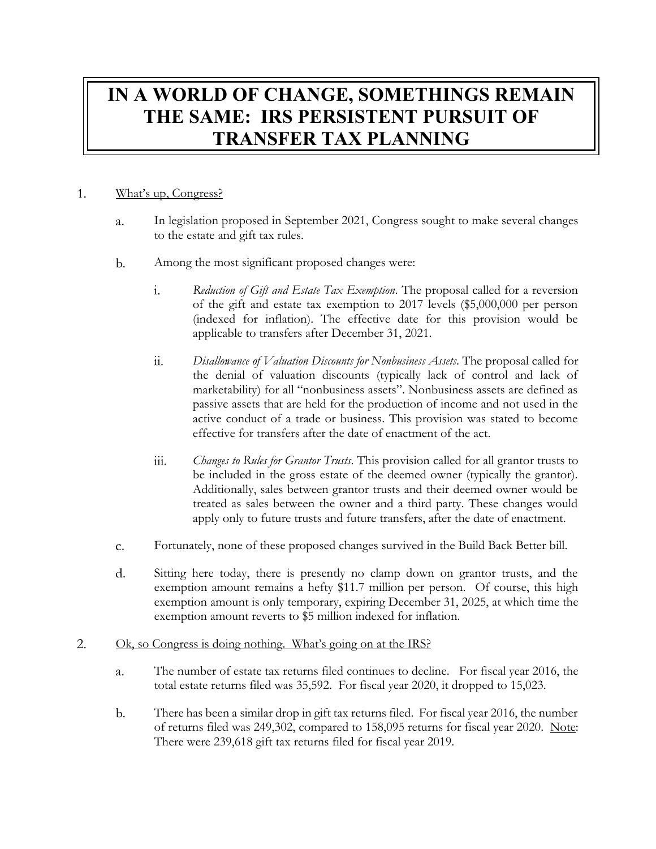## **IN A WORLD OF CHANGE, SOMETHINGS REMAIN THE SAME: IRS PERSISTENT PURSUIT OF TRANSFER TAX PLANNING**

#### 1. What's up, Congress?

- In legislation proposed in September 2021, Congress sought to make several changes  $\overline{a}$ . to the estate and gift tax rules.
- $\mathbf{b}$ . Among the most significant proposed changes were:
	- *Reduction of Gift and Estate Tax Exemption*. The proposal called for a reversion i. of the gift and estate tax exemption to 2017 levels (\$5,000,000 per person (indexed for inflation). The effective date for this provision would be applicable to transfers after December 31, 2021.
	- *Disallowance of Valuation Discounts for Nonbusiness Assets*. The proposal called for  $ii.$ the denial of valuation discounts (typically lack of control and lack of marketability) for all "nonbusiness assets". Nonbusiness assets are defined as passive assets that are held for the production of income and not used in the active conduct of a trade or business. This provision was stated to become effective for transfers after the date of enactment of the act.
	- *Changes to Rules for Grantor Trusts*. This provision called for all grantor trusts to iii. be included in the gross estate of the deemed owner (typically the grantor). Additionally, sales between grantor trusts and their deemed owner would be treated as sales between the owner and a third party. These changes would apply only to future trusts and future transfers, after the date of enactment.
- Fortunately, none of these proposed changes survived in the Build Back Better bill.  $\mathbf{C}$ .
- Sitting here today, there is presently no clamp down on grantor trusts, and the d. exemption amount remains a hefty \$11.7 million per person. Of course, this high exemption amount is only temporary, expiring December 31, 2025, at which time the exemption amount reverts to \$5 million indexed for inflation.

#### Ok, so Congress is doing nothing. What's going on at the IRS? 2.

- The number of estate tax returns filed continues to decline. For fiscal year 2016, the a. total estate returns filed was 35,592. For fiscal year 2020, it dropped to 15,023.
- $\mathbf{b}$ . There has been a similar drop in gift tax returns filed. For fiscal year 2016, the number of returns filed was 249,302, compared to 158,095 returns for fiscal year 2020. Note: There were 239,618 gift tax returns filed for fiscal year 2019.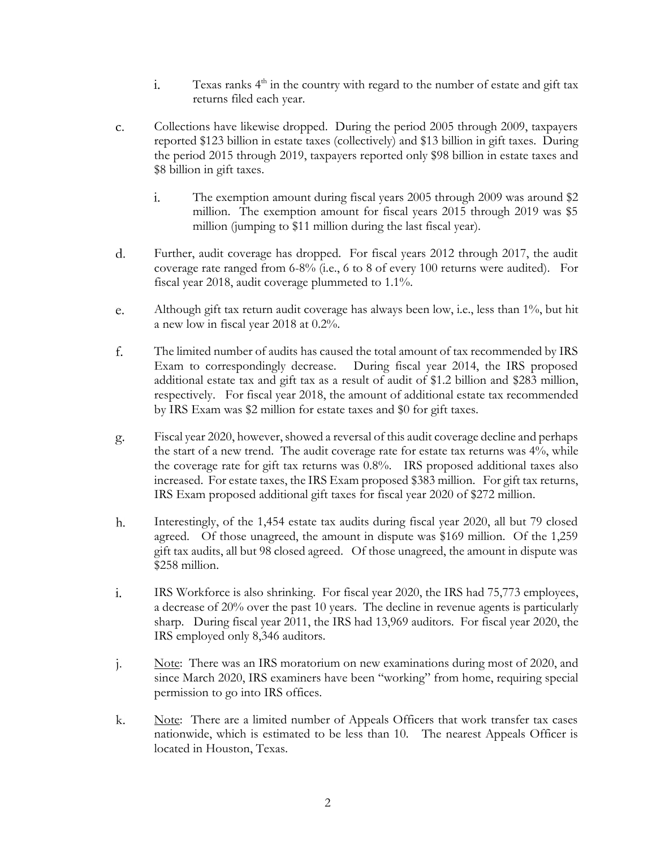- Texas ranks  $4<sup>th</sup>$  in the country with regard to the number of estate and gift tax i. returns filed each year.
- Collections have likewise dropped. During the period 2005 through 2009, taxpayers c. reported \$123 billion in estate taxes (collectively) and \$13 billion in gift taxes. During the period 2015 through 2019, taxpayers reported only \$98 billion in estate taxes and \$8 billion in gift taxes.
	- i. The exemption amount during fiscal years 2005 through 2009 was around \$2 million. The exemption amount for fiscal years 2015 through 2019 was \$5 million (jumping to \$11 million during the last fiscal year).
- $\rm d$ . Further, audit coverage has dropped. For fiscal years 2012 through 2017, the audit coverage rate ranged from 6-8% (i.e., 6 to 8 of every 100 returns were audited). For fiscal year 2018, audit coverage plummeted to 1.1%.
- e. Although gift tax return audit coverage has always been low, i.e., less than 1%, but hit a new low in fiscal year 2018 at 0.2%.
- f. The limited number of audits has caused the total amount of tax recommended by IRS Exam to correspondingly decrease. During fiscal year 2014, the IRS proposed additional estate tax and gift tax as a result of audit of \$1.2 billion and \$283 million, respectively. For fiscal year 2018, the amount of additional estate tax recommended by IRS Exam was \$2 million for estate taxes and \$0 for gift taxes.
- Fiscal year 2020, however, showed a reversal of this audit coverage decline and perhaps g. the start of a new trend. The audit coverage rate for estate tax returns was 4%, while the coverage rate for gift tax returns was 0.8%. IRS proposed additional taxes also increased. For estate taxes, the IRS Exam proposed \$383 million. For gift tax returns, IRS Exam proposed additional gift taxes for fiscal year 2020 of \$272 million.
- h. Interestingly, of the 1,454 estate tax audits during fiscal year 2020, all but 79 closed agreed. Of those unagreed, the amount in dispute was \$169 million. Of the 1,259 gift tax audits, all but 98 closed agreed. Of those unagreed, the amount in dispute was \$258 million.
- IRS Workforce is also shrinking. For fiscal year 2020, the IRS had 75,773 employees, i. a decrease of 20% over the past 10 years. The decline in revenue agents is particularly sharp. During fiscal year 2011, the IRS had 13,969 auditors. For fiscal year 2020, the IRS employed only 8,346 auditors.
- j. Note: There was an IRS moratorium on new examinations during most of 2020, and since March 2020, IRS examiners have been "working" from home, requiring special permission to go into IRS offices.
- k. Note: There are a limited number of Appeals Officers that work transfer tax cases nationwide, which is estimated to be less than 10. The nearest Appeals Officer is located in Houston, Texas.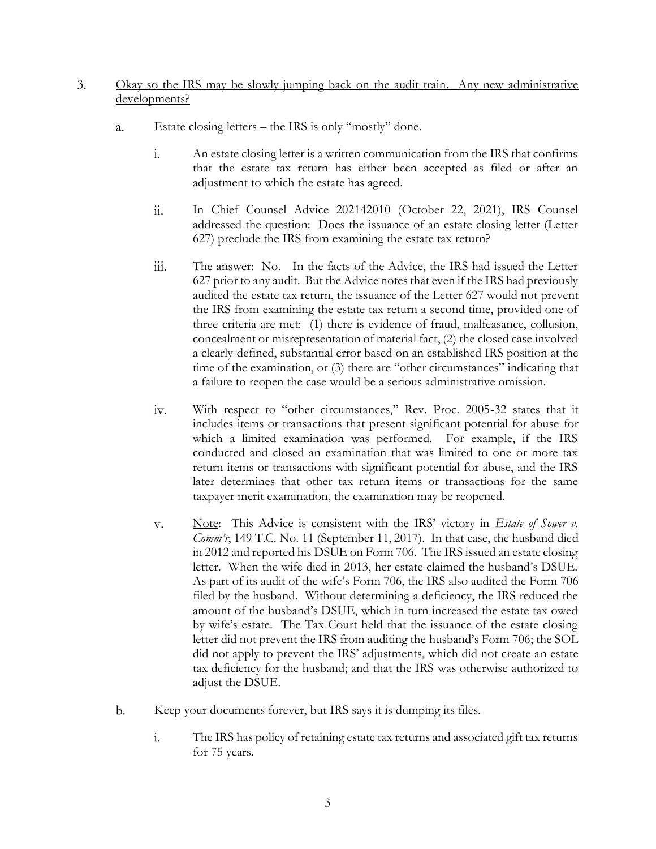- Okay so the IRS may be slowly jumping back on the audit train. Any new administrative 3. developments?
	- Estate closing letters the IRS is only "mostly" done. a.
		- $\mathbf{i}$ . An estate closing letter is a written communication from the IRS that confirms that the estate tax return has either been accepted as filed or after an adjustment to which the estate has agreed.
		- $ii.$ In Chief Counsel Advice 202142010 (October 22, 2021), IRS Counsel addressed the question: Does the issuance of an estate closing letter (Letter 627) preclude the IRS from examining the estate tax return?
		- iii. The answer: No. In the facts of the Advice, the IRS had issued the Letter 627 prior to any audit. But the Advice notes that even if the IRS had previously audited the estate tax return, the issuance of the Letter 627 would not prevent the IRS from examining the estate tax return a second time, provided one of three criteria are met: (1) there is evidence of fraud, malfeasance, collusion, concealment or misrepresentation of material fact, (2) the closed case involved a clearly-defined, substantial error based on an established IRS position at the time of the examination, or (3) there are "other circumstances" indicating that a failure to reopen the case would be a serious administrative omission.
		- With respect to "other circumstances," Rev. Proc. 2005-32 states that it  $iv.$ includes items or transactions that present significant potential for abuse for which a limited examination was performed. For example, if the IRS conducted and closed an examination that was limited to one or more tax return items or transactions with significant potential for abuse, and the IRS later determines that other tax return items or transactions for the same taxpayer merit examination, the examination may be reopened.
		- Note: This Advice is consistent with the IRS' victory in *Estate of Sower v.*  V. *Comm'r*, 149 T.C. No. 11 (September 11, 2017). In that case, the husband died in 2012 and reported his DSUE on Form 706. The IRS issued an estate closing letter. When the wife died in 2013, her estate claimed the husband's DSUE. As part of its audit of the wife's Form 706, the IRS also audited the Form 706 filed by the husband. Without determining a deficiency, the IRS reduced the amount of the husband's DSUE, which in turn increased the estate tax owed by wife's estate. The Tax Court held that the issuance of the estate closing letter did not prevent the IRS from auditing the husband's Form 706; the SOL did not apply to prevent the IRS' adjustments, which did not create an estate tax deficiency for the husband; and that the IRS was otherwise authorized to adjust the DSUE.
	- $\mathbf{b}$ . Keep your documents forever, but IRS says it is dumping its files.
		- The IRS has policy of retaining estate tax returns and associated gift tax returns i. for 75 years.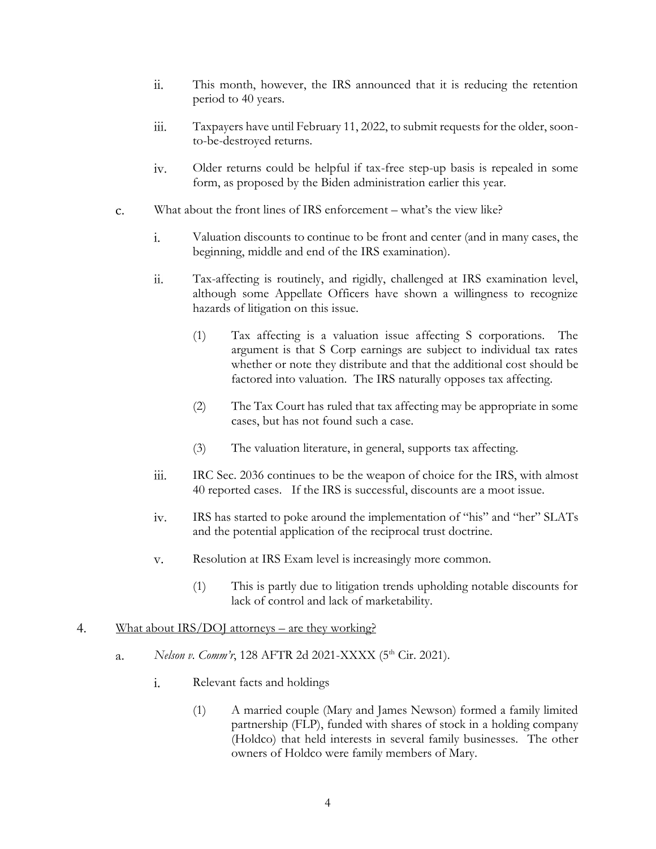- ii. This month, however, the IRS announced that it is reducing the retention period to 40 years.
- iii. Taxpayers have until February 11, 2022, to submit requests for the older, soonto-be-destroyed returns.
- Older returns could be helpful if tax-free step-up basis is repealed in some  $iv.$ form, as proposed by the Biden administration earlier this year.
- What about the front lines of IRS enforcement what's the view like?  $\mathbf{C}$ .
	- $\mathbf{i}$ . Valuation discounts to continue to be front and center (and in many cases, the beginning, middle and end of the IRS examination).
	- Tax-affecting is routinely, and rigidly, challenged at IRS examination level, ii. although some Appellate Officers have shown a willingness to recognize hazards of litigation on this issue.
		- (1) Tax affecting is a valuation issue affecting S corporations. The argument is that S Corp earnings are subject to individual tax rates whether or note they distribute and that the additional cost should be factored into valuation. The IRS naturally opposes tax affecting.
		- (2) The Tax Court has ruled that tax affecting may be appropriate in some cases, but has not found such a case.
		- (3) The valuation literature, in general, supports tax affecting.
	- $\overline{111}$ . IRC Sec. 2036 continues to be the weapon of choice for the IRS, with almost 40 reported cases. If the IRS is successful, discounts are a moot issue.
	- iv. IRS has started to poke around the implementation of "his" and "her" SLATs and the potential application of the reciprocal trust doctrine.
	- Resolution at IRS Exam level is increasingly more common. V.
		- (1) This is partly due to litigation trends upholding notable discounts for lack of control and lack of marketability.

#### $\overline{4}$ . What about IRS/DOJ attorneys – are they working?

- *Nelson v. Comm'r*, 128 AFTR 2d 2021-XXXX (5<sup>th</sup> Cir. 2021). a.
	- i. Relevant facts and holdings
		- (1) A married couple (Mary and James Newson) formed a family limited partnership (FLP), funded with shares of stock in a holding company (Holdco) that held interests in several family businesses. The other owners of Holdco were family members of Mary.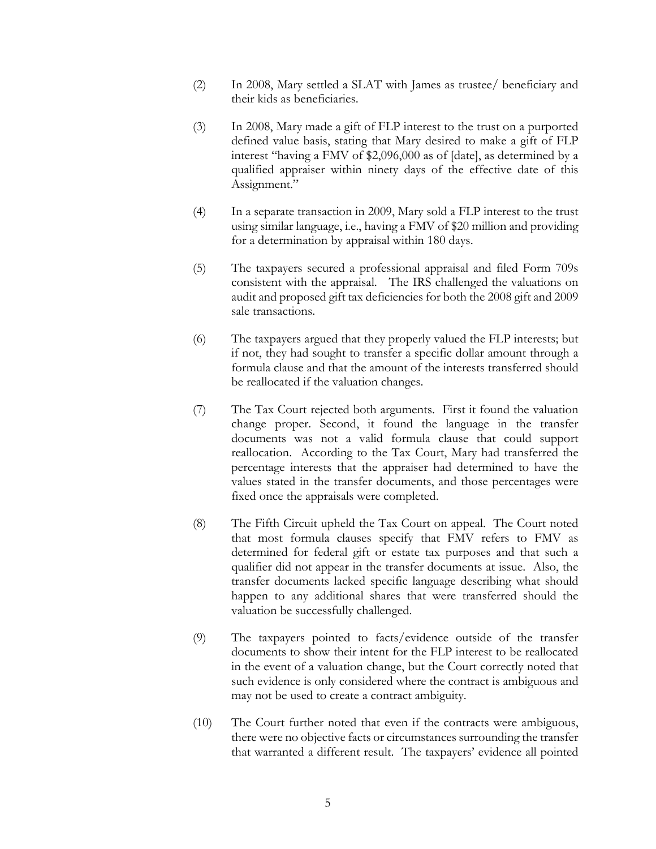- (2) In 2008, Mary settled a SLAT with James as trustee/ beneficiary and their kids as beneficiaries.
- (3) In 2008, Mary made a gift of FLP interest to the trust on a purported defined value basis, stating that Mary desired to make a gift of FLP interest "having a FMV of \$2,096,000 as of [date], as determined by a qualified appraiser within ninety days of the effective date of this Assignment."
- (4) In a separate transaction in 2009, Mary sold a FLP interest to the trust using similar language, i.e., having a FMV of \$20 million and providing for a determination by appraisal within 180 days.
- (5) The taxpayers secured a professional appraisal and filed Form 709s consistent with the appraisal. The IRS challenged the valuations on audit and proposed gift tax deficiencies for both the 2008 gift and 2009 sale transactions.
- (6) The taxpayers argued that they properly valued the FLP interests; but if not, they had sought to transfer a specific dollar amount through a formula clause and that the amount of the interests transferred should be reallocated if the valuation changes.
- (7) The Tax Court rejected both arguments. First it found the valuation change proper. Second, it found the language in the transfer documents was not a valid formula clause that could support reallocation. According to the Tax Court, Mary had transferred the percentage interests that the appraiser had determined to have the values stated in the transfer documents, and those percentages were fixed once the appraisals were completed.
- (8) The Fifth Circuit upheld the Tax Court on appeal. The Court noted that most formula clauses specify that FMV refers to FMV as determined for federal gift or estate tax purposes and that such a qualifier did not appear in the transfer documents at issue. Also, the transfer documents lacked specific language describing what should happen to any additional shares that were transferred should the valuation be successfully challenged.
- (9) The taxpayers pointed to facts/evidence outside of the transfer documents to show their intent for the FLP interest to be reallocated in the event of a valuation change, but the Court correctly noted that such evidence is only considered where the contract is ambiguous and may not be used to create a contract ambiguity.
- (10) The Court further noted that even if the contracts were ambiguous, there were no objective facts or circumstances surrounding the transfer that warranted a different result. The taxpayers' evidence all pointed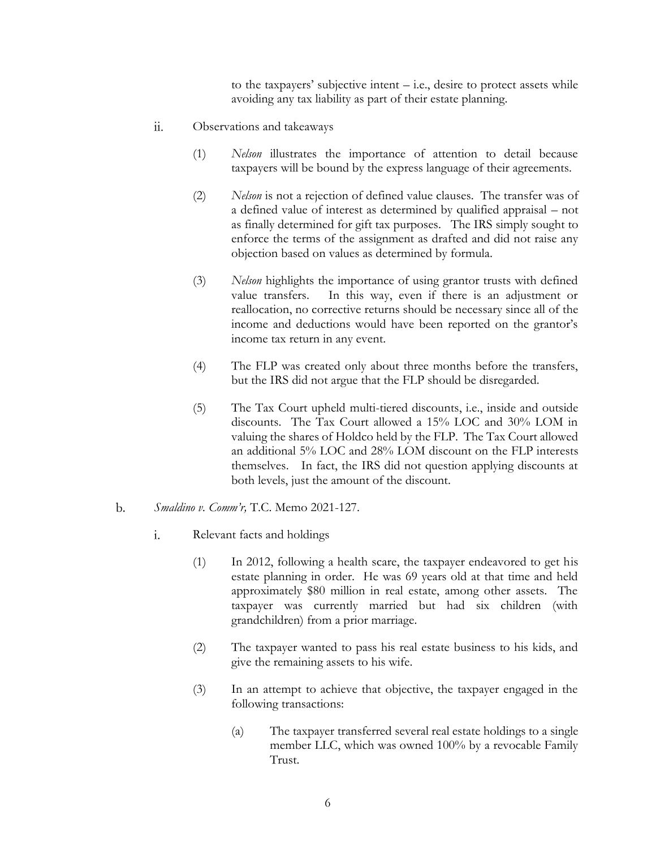to the taxpayers' subjective intent  $-$  i.e., desire to protect assets while avoiding any tax liability as part of their estate planning.

- Observations and takeaways  $\overline{\mathbf{11}}$ .
	- (1) *Nelson* illustrates the importance of attention to detail because taxpayers will be bound by the express language of their agreements.
	- (2) *Nelson* is not a rejection of defined value clauses. The transfer was of a defined value of interest as determined by qualified appraisal – not as finally determined for gift tax purposes. The IRS simply sought to enforce the terms of the assignment as drafted and did not raise any objection based on values as determined by formula.
	- (3) *Nelson* highlights the importance of using grantor trusts with defined value transfers. In this way, even if there is an adjustment or reallocation, no corrective returns should be necessary since all of the income and deductions would have been reported on the grantor's income tax return in any event.
	- (4) The FLP was created only about three months before the transfers, but the IRS did not argue that the FLP should be disregarded.
	- (5) The Tax Court upheld multi-tiered discounts, i.e., inside and outside discounts. The Tax Court allowed a 15% LOC and 30% LOM in valuing the shares of Holdco held by the FLP. The Tax Court allowed an additional 5% LOC and 28% LOM discount on the FLP interests themselves. In fact, the IRS did not question applying discounts at both levels, just the amount of the discount.

#### $\mathbf{b}$ . *Smaldino v. Comm'r,* T.C. Memo 2021-127.

- i. Relevant facts and holdings
	- (1) In 2012, following a health scare, the taxpayer endeavored to get his estate planning in order. He was 69 years old at that time and held approximately \$80 million in real estate, among other assets. The taxpayer was currently married but had six children (with grandchildren) from a prior marriage.
	- (2) The taxpayer wanted to pass his real estate business to his kids, and give the remaining assets to his wife.
	- (3) In an attempt to achieve that objective, the taxpayer engaged in the following transactions:
		- (a) The taxpayer transferred several real estate holdings to a single member LLC, which was owned 100% by a revocable Family Trust.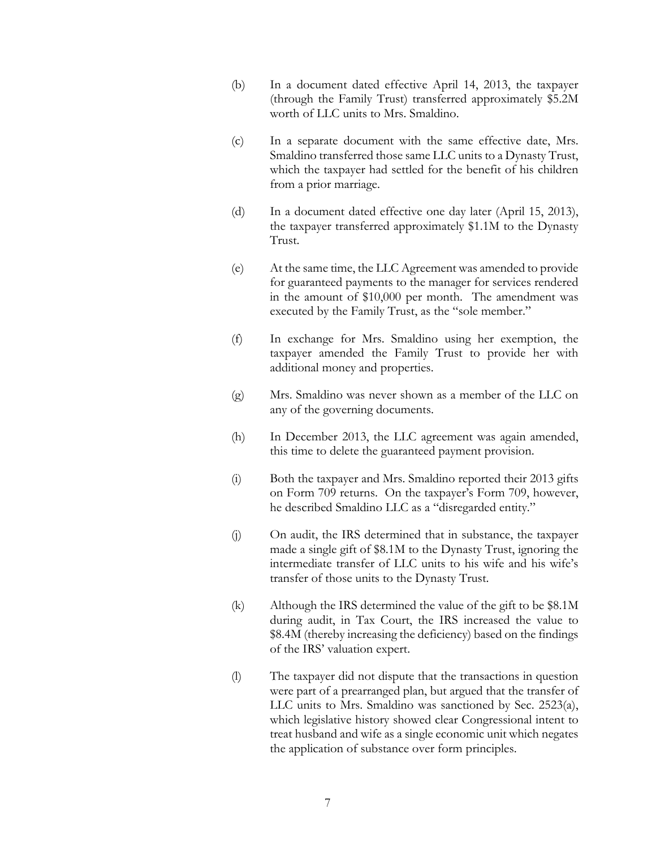- (b) In a document dated effective April 14, 2013, the taxpayer (through the Family Trust) transferred approximately \$5.2M worth of LLC units to Mrs. Smaldino.
- (c) In a separate document with the same effective date, Mrs. Smaldino transferred those same LLC units to a Dynasty Trust, which the taxpayer had settled for the benefit of his children from a prior marriage.
- (d) In a document dated effective one day later (April 15, 2013), the taxpayer transferred approximately \$1.1M to the Dynasty Trust.
- (e) At the same time, the LLC Agreement was amended to provide for guaranteed payments to the manager for services rendered in the amount of \$10,000 per month. The amendment was executed by the Family Trust, as the "sole member."
- (f) In exchange for Mrs. Smaldino using her exemption, the taxpayer amended the Family Trust to provide her with additional money and properties.
- (g) Mrs. Smaldino was never shown as a member of the LLC on any of the governing documents.
- (h) In December 2013, the LLC agreement was again amended, this time to delete the guaranteed payment provision.
- (i) Both the taxpayer and Mrs. Smaldino reported their 2013 gifts on Form 709 returns. On the taxpayer's Form 709, however, he described Smaldino LLC as a "disregarded entity."
- (j) On audit, the IRS determined that in substance, the taxpayer made a single gift of \$8.1M to the Dynasty Trust, ignoring the intermediate transfer of LLC units to his wife and his wife's transfer of those units to the Dynasty Trust.
- (k) Although the IRS determined the value of the gift to be \$8.1M during audit, in Tax Court, the IRS increased the value to \$8.4M (thereby increasing the deficiency) based on the findings of the IRS' valuation expert.
- (l) The taxpayer did not dispute that the transactions in question were part of a prearranged plan, but argued that the transfer of LLC units to Mrs. Smaldino was sanctioned by Sec. 2523(a), which legislative history showed clear Congressional intent to treat husband and wife as a single economic unit which negates the application of substance over form principles.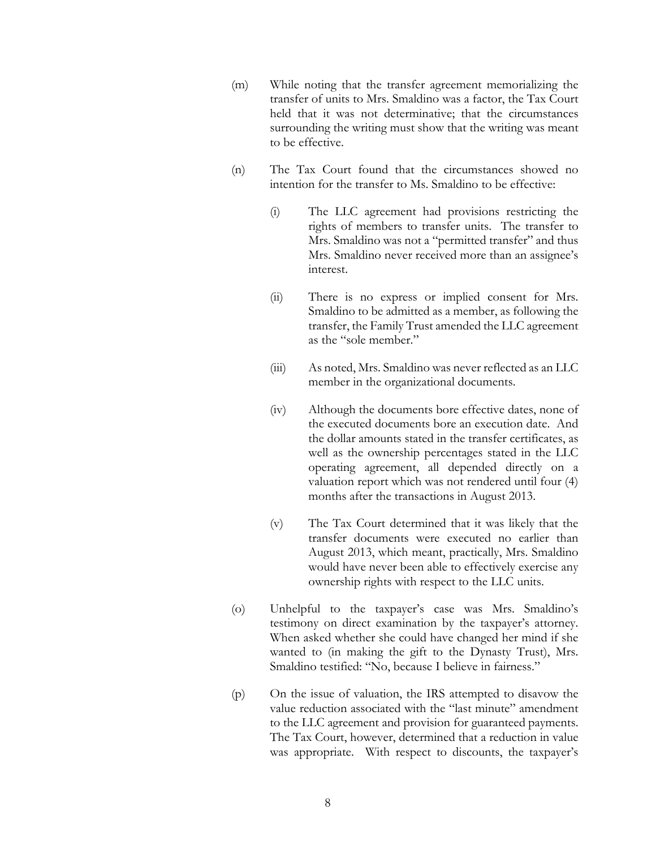- (m) While noting that the transfer agreement memorializing the transfer of units to Mrs. Smaldino was a factor, the Tax Court held that it was not determinative; that the circumstances surrounding the writing must show that the writing was meant to be effective.
- (n) The Tax Court found that the circumstances showed no intention for the transfer to Ms. Smaldino to be effective:
	- (i) The LLC agreement had provisions restricting the rights of members to transfer units. The transfer to Mrs. Smaldino was not a "permitted transfer" and thus Mrs. Smaldino never received more than an assignee's interest.
	- (ii) There is no express or implied consent for Mrs. Smaldino to be admitted as a member, as following the transfer, the Family Trust amended the LLC agreement as the "sole member."
	- (iii) As noted, Mrs. Smaldino was never reflected as an LLC member in the organizational documents.
	- (iv) Although the documents bore effective dates, none of the executed documents bore an execution date. And the dollar amounts stated in the transfer certificates, as well as the ownership percentages stated in the LLC operating agreement, all depended directly on a valuation report which was not rendered until four (4) months after the transactions in August 2013.
	- (v) The Tax Court determined that it was likely that the transfer documents were executed no earlier than August 2013, which meant, practically, Mrs. Smaldino would have never been able to effectively exercise any ownership rights with respect to the LLC units.
- (o) Unhelpful to the taxpayer's case was Mrs. Smaldino's testimony on direct examination by the taxpayer's attorney. When asked whether she could have changed her mind if she wanted to (in making the gift to the Dynasty Trust), Mrs. Smaldino testified: "No, because I believe in fairness."
- (p) On the issue of valuation, the IRS attempted to disavow the value reduction associated with the "last minute" amendment to the LLC agreement and provision for guaranteed payments. The Tax Court, however, determined that a reduction in value was appropriate. With respect to discounts, the taxpayer's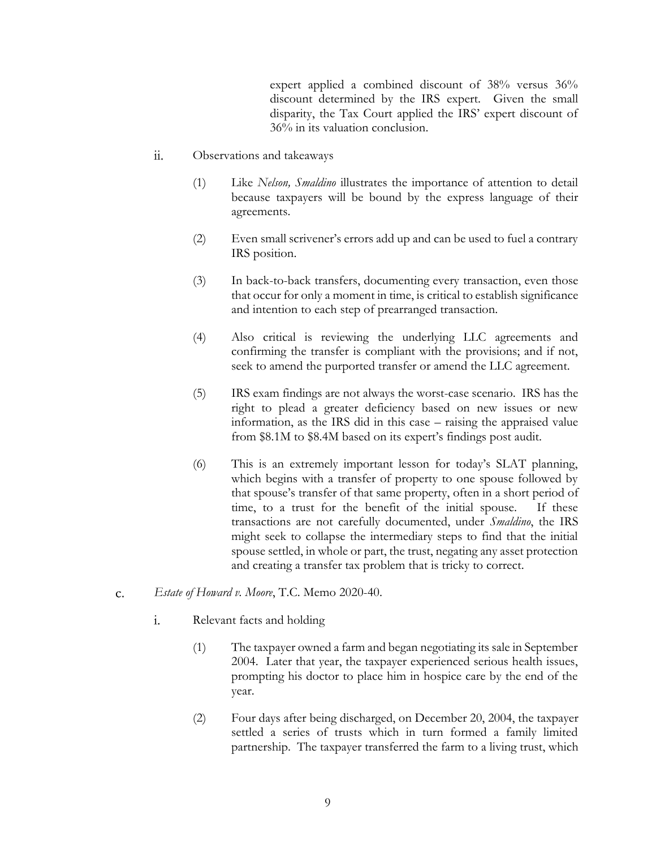expert applied a combined discount of 38% versus 36% discount determined by the IRS expert. Given the small disparity, the Tax Court applied the IRS' expert discount of 36% in its valuation conclusion.

- $ii.$ Observations and takeaways
	- (1) Like *Nelson, Smaldino* illustrates the importance of attention to detail because taxpayers will be bound by the express language of their agreements.
	- (2) Even small scrivener's errors add up and can be used to fuel a contrary IRS position.
	- (3) In back-to-back transfers, documenting every transaction, even those that occur for only a moment in time, is critical to establish significance and intention to each step of prearranged transaction.
	- (4) Also critical is reviewing the underlying LLC agreements and confirming the transfer is compliant with the provisions; and if not, seek to amend the purported transfer or amend the LLC agreement.
	- (5) IRS exam findings are not always the worst-case scenario. IRS has the right to plead a greater deficiency based on new issues or new information, as the IRS did in this case – raising the appraised value from \$8.1M to \$8.4M based on its expert's findings post audit.
	- (6) This is an extremely important lesson for today's SLAT planning, which begins with a transfer of property to one spouse followed by that spouse's transfer of that same property, often in a short period of time, to a trust for the benefit of the initial spouse. If these transactions are not carefully documented, under *Smaldino*, the IRS might seek to collapse the intermediary steps to find that the initial spouse settled, in whole or part, the trust, negating any asset protection and creating a transfer tax problem that is tricky to correct.
- *Estate of Howard v. Moore*, T.C. Memo 2020-40.  $\mathsf{C}$ .
	- $\mathbf{i}$ . Relevant facts and holding
		- (1) The taxpayer owned a farm and began negotiating its sale in September 2004. Later that year, the taxpayer experienced serious health issues, prompting his doctor to place him in hospice care by the end of the year.
		- (2) Four days after being discharged, on December 20, 2004, the taxpayer settled a series of trusts which in turn formed a family limited partnership. The taxpayer transferred the farm to a living trust, which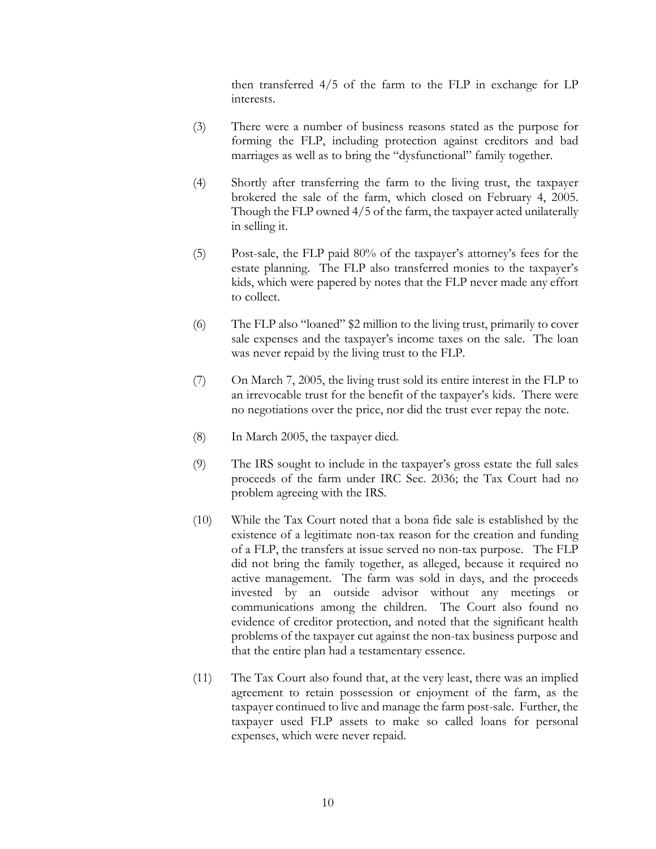then transferred 4/5 of the farm to the FLP in exchange for LP interests.

- (3) There were a number of business reasons stated as the purpose for forming the FLP, including protection against creditors and bad marriages as well as to bring the "dysfunctional" family together.
- (4) Shortly after transferring the farm to the living trust, the taxpayer brokered the sale of the farm, which closed on February 4, 2005. Though the FLP owned 4/5 of the farm, the taxpayer acted unilaterally in selling it.
- (5) Post-sale, the FLP paid 80% of the taxpayer's attorney's fees for the estate planning. The FLP also transferred monies to the taxpayer's kids, which were papered by notes that the FLP never made any effort to collect.
- (6) The FLP also "loaned" \$2 million to the living trust, primarily to cover sale expenses and the taxpayer's income taxes on the sale. The loan was never repaid by the living trust to the FLP.
- (7) On March 7, 2005, the living trust sold its entire interest in the FLP to an irrevocable trust for the benefit of the taxpayer's kids. There were no negotiations over the price, nor did the trust ever repay the note.
- (8) In March 2005, the taxpayer died.
- (9) The IRS sought to include in the taxpayer's gross estate the full sales proceeds of the farm under IRC Sec. 2036; the Tax Court had no problem agreeing with the IRS.
- (10) While the Tax Court noted that a bona fide sale is established by the existence of a legitimate non-tax reason for the creation and funding of a FLP, the transfers at issue served no non-tax purpose. The FLP did not bring the family together, as alleged, because it required no active management. The farm was sold in days, and the proceeds invested by an outside advisor without any meetings or communications among the children. The Court also found no evidence of creditor protection, and noted that the significant health problems of the taxpayer cut against the non-tax business purpose and that the entire plan had a testamentary essence.
- (11) The Tax Court also found that, at the very least, there was an implied agreement to retain possession or enjoyment of the farm, as the taxpayer continued to live and manage the farm post-sale. Further, the taxpayer used FLP assets to make so called loans for personal expenses, which were never repaid.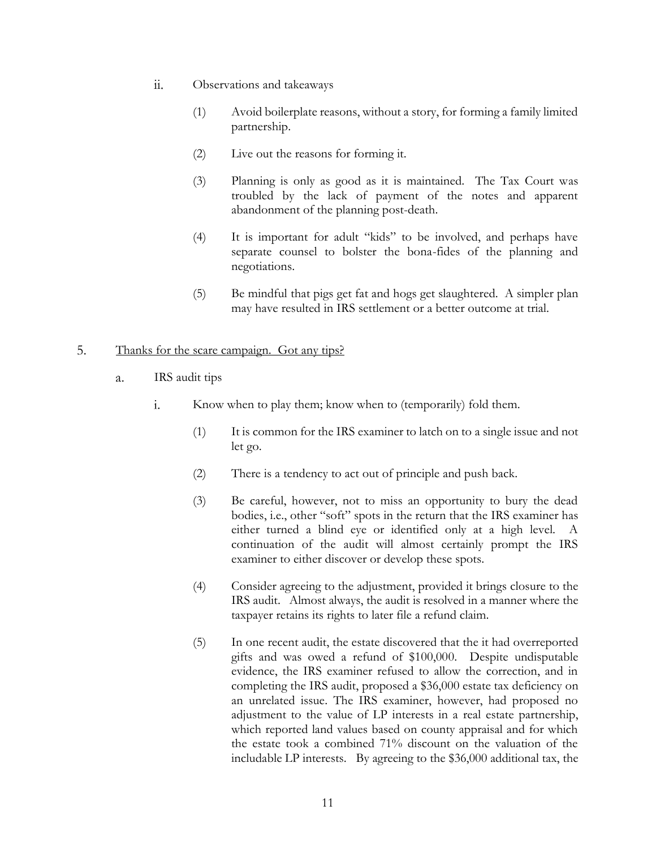- $ii.$ Observations and takeaways
	- (1) Avoid boilerplate reasons, without a story, for forming a family limited partnership.
	- (2) Live out the reasons for forming it.
	- (3) Planning is only as good as it is maintained. The Tax Court was troubled by the lack of payment of the notes and apparent abandonment of the planning post-death.
	- (4) It is important for adult "kids" to be involved, and perhaps have separate counsel to bolster the bona-fides of the planning and negotiations.
	- (5) Be mindful that pigs get fat and hogs get slaughtered. A simpler plan may have resulted in IRS settlement or a better outcome at trial.

#### 5. Thanks for the scare campaign. Got any tips?

- $\alpha$ . IRS audit tips
	- $\mathbf{i}$ . Know when to play them; know when to (temporarily) fold them.
		- (1) It is common for the IRS examiner to latch on to a single issue and not let go.
		- (2) There is a tendency to act out of principle and push back.
		- (3) Be careful, however, not to miss an opportunity to bury the dead bodies, i.e., other "soft" spots in the return that the IRS examiner has either turned a blind eye or identified only at a high level. A continuation of the audit will almost certainly prompt the IRS examiner to either discover or develop these spots.
		- (4) Consider agreeing to the adjustment, provided it brings closure to the IRS audit. Almost always, the audit is resolved in a manner where the taxpayer retains its rights to later file a refund claim.
		- (5) In one recent audit, the estate discovered that the it had overreported gifts and was owed a refund of \$100,000. Despite undisputable evidence, the IRS examiner refused to allow the correction, and in completing the IRS audit, proposed a \$36,000 estate tax deficiency on an unrelated issue. The IRS examiner, however, had proposed no adjustment to the value of LP interests in a real estate partnership, which reported land values based on county appraisal and for which the estate took a combined 71% discount on the valuation of the includable LP interests. By agreeing to the \$36,000 additional tax, the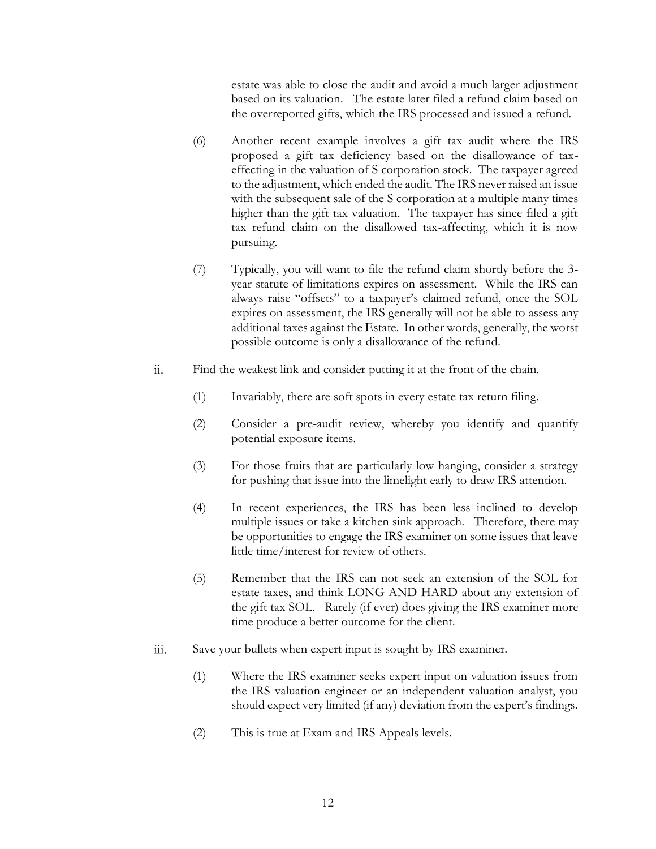estate was able to close the audit and avoid a much larger adjustment based on its valuation. The estate later filed a refund claim based on the overreported gifts, which the IRS processed and issued a refund.

- (6) Another recent example involves a gift tax audit where the IRS proposed a gift tax deficiency based on the disallowance of taxeffecting in the valuation of S corporation stock. The taxpayer agreed to the adjustment, which ended the audit. The IRS never raised an issue with the subsequent sale of the S corporation at a multiple many times higher than the gift tax valuation. The taxpayer has since filed a gift tax refund claim on the disallowed tax-affecting, which it is now pursuing.
- (7) Typically, you will want to file the refund claim shortly before the 3 year statute of limitations expires on assessment. While the IRS can always raise "offsets" to a taxpayer's claimed refund, once the SOL expires on assessment, the IRS generally will not be able to assess any additional taxes against the Estate. In other words, generally, the worst possible outcome is only a disallowance of the refund.
- Find the weakest link and consider putting it at the front of the chain.  $ii.$ 
	- (1) Invariably, there are soft spots in every estate tax return filing.
	- (2) Consider a pre-audit review, whereby you identify and quantify potential exposure items.
	- (3) For those fruits that are particularly low hanging, consider a strategy for pushing that issue into the limelight early to draw IRS attention.
	- (4) In recent experiences, the IRS has been less inclined to develop multiple issues or take a kitchen sink approach. Therefore, there may be opportunities to engage the IRS examiner on some issues that leave little time/interest for review of others.
	- (5) Remember that the IRS can not seek an extension of the SOL for estate taxes, and think LONG AND HARD about any extension of the gift tax SOL. Rarely (if ever) does giving the IRS examiner more time produce a better outcome for the client.
- Save your bullets when expert input is sought by IRS examiner. iii.
	- (1) Where the IRS examiner seeks expert input on valuation issues from the IRS valuation engineer or an independent valuation analyst, you should expect very limited (if any) deviation from the expert's findings.
	- (2) This is true at Exam and IRS Appeals levels.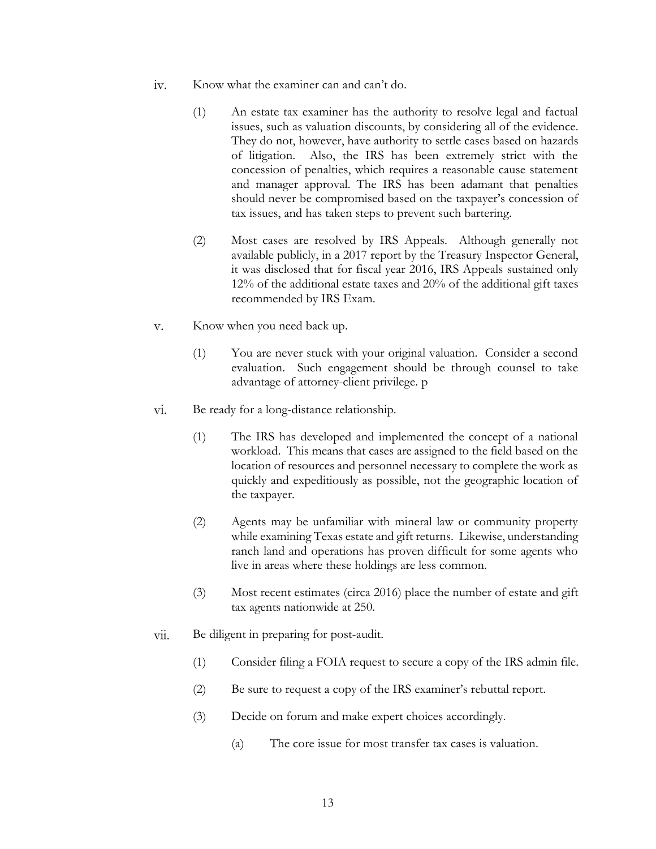- $iv.$ Know what the examiner can and can't do.
	- (1) An estate tax examiner has the authority to resolve legal and factual issues, such as valuation discounts, by considering all of the evidence. They do not, however, have authority to settle cases based on hazards of litigation. Also, the IRS has been extremely strict with the concession of penalties, which requires a reasonable cause statement and manager approval. The IRS has been adamant that penalties should never be compromised based on the taxpayer's concession of tax issues, and has taken steps to prevent such bartering.
	- (2) Most cases are resolved by IRS Appeals. Although generally not available publicly, in a 2017 report by the Treasury Inspector General, it was disclosed that for fiscal year 2016, IRS Appeals sustained only 12% of the additional estate taxes and 20% of the additional gift taxes recommended by IRS Exam.
- Know when you need back up.  $V_{\cdot}$ 
	- (1) You are never stuck with your original valuation. Consider a second evaluation. Such engagement should be through counsel to take advantage of attorney-client privilege. p
- vi. Be ready for a long-distance relationship.
	- (1) The IRS has developed and implemented the concept of a national workload. This means that cases are assigned to the field based on the location of resources and personnel necessary to complete the work as quickly and expeditiously as possible, not the geographic location of the taxpayer.
	- (2) Agents may be unfamiliar with mineral law or community property while examining Texas estate and gift returns. Likewise, understanding ranch land and operations has proven difficult for some agents who live in areas where these holdings are less common.
	- (3) Most recent estimates (circa 2016) place the number of estate and gift tax agents nationwide at 250.
- vii. Be diligent in preparing for post-audit.
	- (1) Consider filing a FOIA request to secure a copy of the IRS admin file.
	- (2) Be sure to request a copy of the IRS examiner's rebuttal report.
	- (3) Decide on forum and make expert choices accordingly.
		- (a) The core issue for most transfer tax cases is valuation.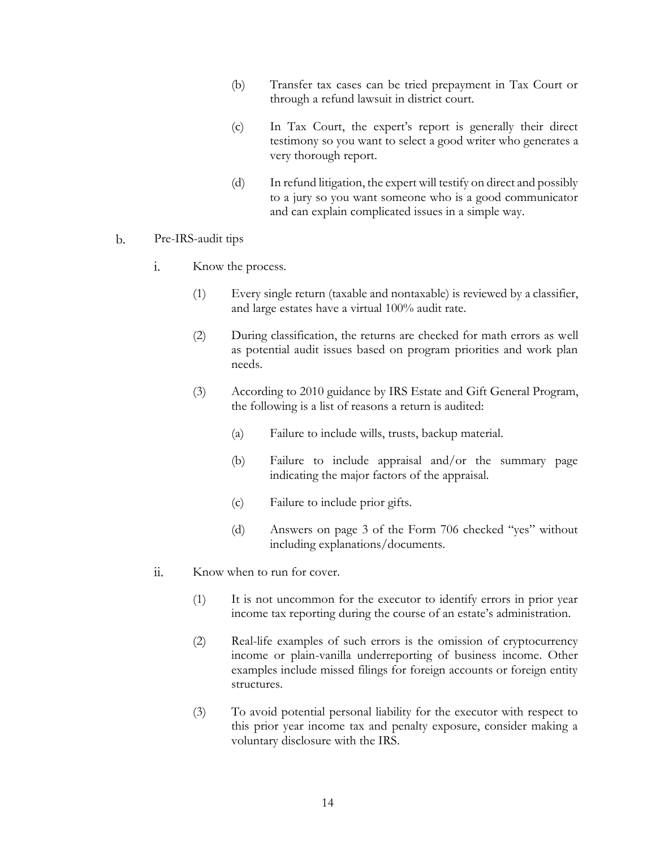- (b) Transfer tax cases can be tried prepayment in Tax Court or through a refund lawsuit in district court.
- (c) In Tax Court, the expert's report is generally their direct testimony so you want to select a good writer who generates a very thorough report.
- (d) In refund litigation, the expert will testify on direct and possibly to a jury so you want someone who is a good communicator and can explain complicated issues in a simple way.
- $\mathbf{b}$ . Pre-IRS-audit tips
	- Know the process. i.
		- (1) Every single return (taxable and nontaxable) is reviewed by a classifier, and large estates have a virtual 100% audit rate.
		- (2) During classification, the returns are checked for math errors as well as potential audit issues based on program priorities and work plan needs.
		- (3) According to 2010 guidance by IRS Estate and Gift General Program, the following is a list of reasons a return is audited:
			- (a) Failure to include wills, trusts, backup material.
			- (b) Failure to include appraisal and/or the summary page indicating the major factors of the appraisal.
			- (c) Failure to include prior gifts.
			- (d) Answers on page 3 of the Form 706 checked "yes" without including explanations/documents.
	- $ii.$ Know when to run for cover.
		- (1) It is not uncommon for the executor to identify errors in prior year income tax reporting during the course of an estate's administration.
		- (2) Real-life examples of such errors is the omission of cryptocurrency income or plain-vanilla underreporting of business income. Other examples include missed filings for foreign accounts or foreign entity structures.
		- (3) To avoid potential personal liability for the executor with respect to this prior year income tax and penalty exposure, consider making a voluntary disclosure with the IRS.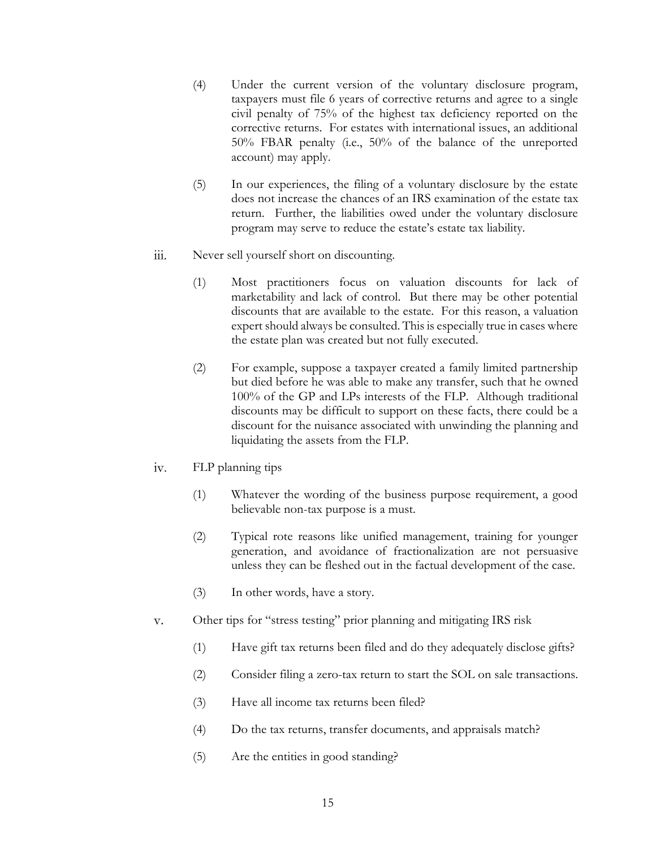- (4) Under the current version of the voluntary disclosure program, taxpayers must file 6 years of corrective returns and agree to a single civil penalty of 75% of the highest tax deficiency reported on the corrective returns. For estates with international issues, an additional 50% FBAR penalty (i.e., 50% of the balance of the unreported account) may apply.
- (5) In our experiences, the filing of a voluntary disclosure by the estate does not increase the chances of an IRS examination of the estate tax return. Further, the liabilities owed under the voluntary disclosure program may serve to reduce the estate's estate tax liability.
- iii. Never sell yourself short on discounting.
	- (1) Most practitioners focus on valuation discounts for lack of marketability and lack of control. But there may be other potential discounts that are available to the estate. For this reason, a valuation expert should always be consulted. This is especially true in cases where the estate plan was created but not fully executed.
	- (2) For example, suppose a taxpayer created a family limited partnership but died before he was able to make any transfer, such that he owned 100% of the GP and LPs interests of the FLP. Although traditional discounts may be difficult to support on these facts, there could be a discount for the nuisance associated with unwinding the planning and liquidating the assets from the FLP.
- $iv.$ FLP planning tips
	- (1) Whatever the wording of the business purpose requirement, a good believable non-tax purpose is a must.
	- (2) Typical rote reasons like unified management, training for younger generation, and avoidance of fractionalization are not persuasive unless they can be fleshed out in the factual development of the case.
	- (3) In other words, have a story.
- Other tips for "stress testing" prior planning and mitigating IRS risk  $V_{\star}$ 
	- (1) Have gift tax returns been filed and do they adequately disclose gifts?
	- (2) Consider filing a zero-tax return to start the SOL on sale transactions.
	- (3) Have all income tax returns been filed?
	- (4) Do the tax returns, transfer documents, and appraisals match?
	- (5) Are the entities in good standing?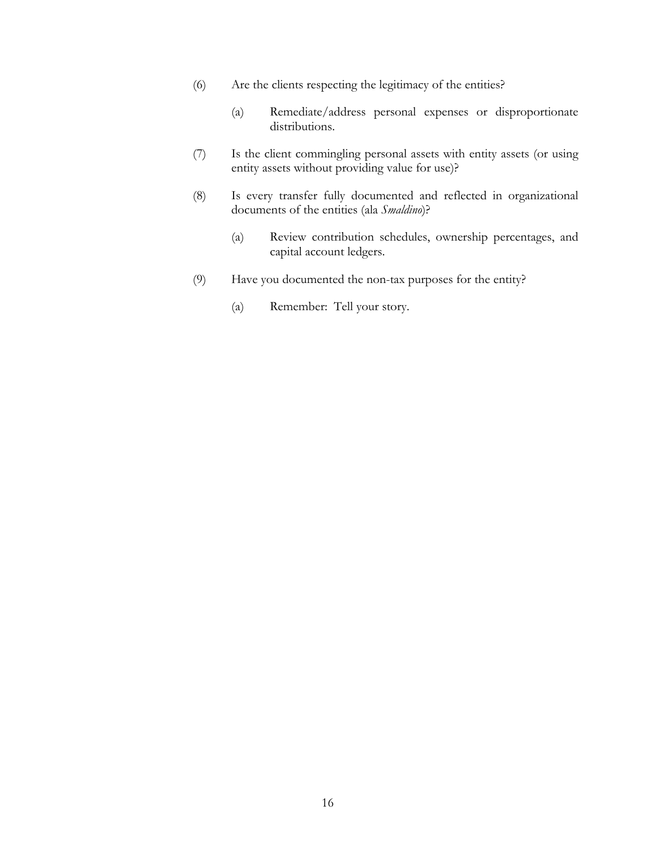- (6) Are the clients respecting the legitimacy of the entities?
	- (a) Remediate/address personal expenses or disproportionate distributions.
- (7) Is the client commingling personal assets with entity assets (or using entity assets without providing value for use)?
- (8) Is every transfer fully documented and reflected in organizational documents of the entities (ala *Smaldino*)?
	- (a) Review contribution schedules, ownership percentages, and capital account ledgers.
- (9) Have you documented the non-tax purposes for the entity?
	- (a) Remember: Tell your story.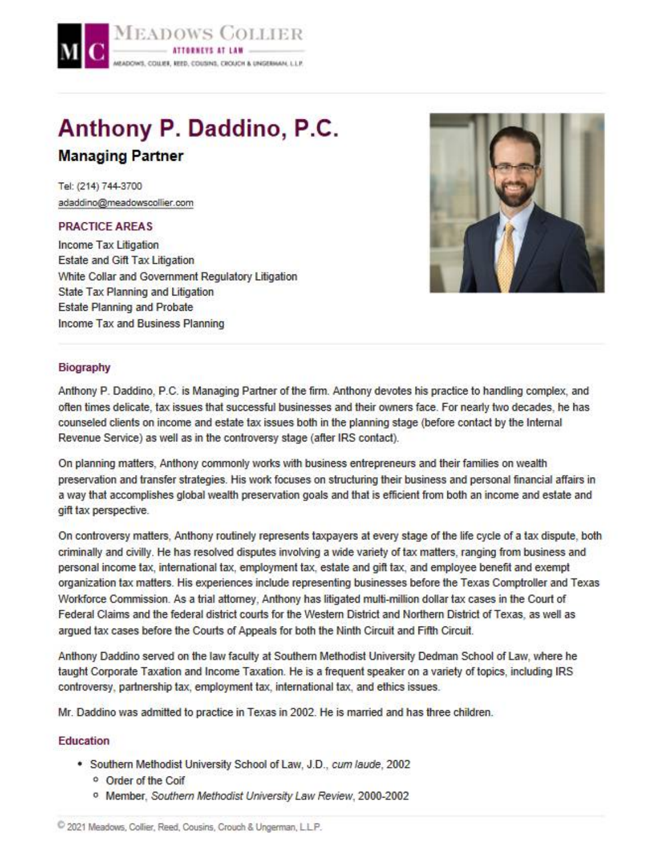

# Anthony P. Daddino, P.C. **Managing Partner**

Tel: (214) 744-3700 adaddino@meadowscollier.com

### **PRACTICE AREAS**

Income Tax Litigation Estate and Gift Tax Litigation White Collar and Government Regulatory Litigation **State Tax Planning and Litigation Estate Planning and Probate Income Tax and Business Planning** 



### Biography

Anthony P. Daddino, P.C. is Managing Partner of the firm. Anthony devotes his practice to handling complex, and often times delicate, tax issues that successful businesses and their owners face. For nearly two decades, he has counseled clients on income and estate tax issues both in the planning stage (before contact by the Internal Revenue Service) as well as in the controversy stage (after IRS contact).

On planning matters, Anthony commonly works with business entrepreneurs and their families on wealth preservation and transfer strategies. His work focuses on structuring their business and personal financial affairs in a way that accomplishes global wealth preservation goals and that is efficient from both an income and estate and gift tax perspective.

On controversy matters, Anthony routinely represents taxpayers at every stage of the life cycle of a tax dispute, both criminally and civilly. He has resolved disputes involving a wide variety of tax matters, ranging from business and personal income tax, international tax, employment tax, estate and gift tax, and employee benefit and exempt organization tax matters. His experiences include representing businesses before the Texas Comptroller and Texas Workforce Commission. As a trial attorney, Anthony has litigated multi-million dollar tax cases in the Court of Federal Claims and the federal district courts for the Western District and Northern District of Texas, as well as arqued tax cases before the Courts of Appeals for both the Ninth Circuit and Fifth Circuit.

Anthony Daddino served on the law faculty at Southern Methodist University Dedman School of Law, where he taught Corporate Taxation and Income Taxation. He is a frequent speaker on a variety of topics, including IRS controversy, partnership tax, employment tax, international tax, and ethics issues.

Mr. Daddino was admitted to practice in Texas in 2002. He is married and has three children.

### Education

- . Southern Methodist University School of Law, J.D., cum laude, 2002
	- <sup>o</sup> Order of the Coif
	- <sup>o</sup> Member, Southern Methodist University Law Review, 2000-2002

2021 Meadows, Collier, Reed, Cousins, Crouch & Ungerman, L.L.P.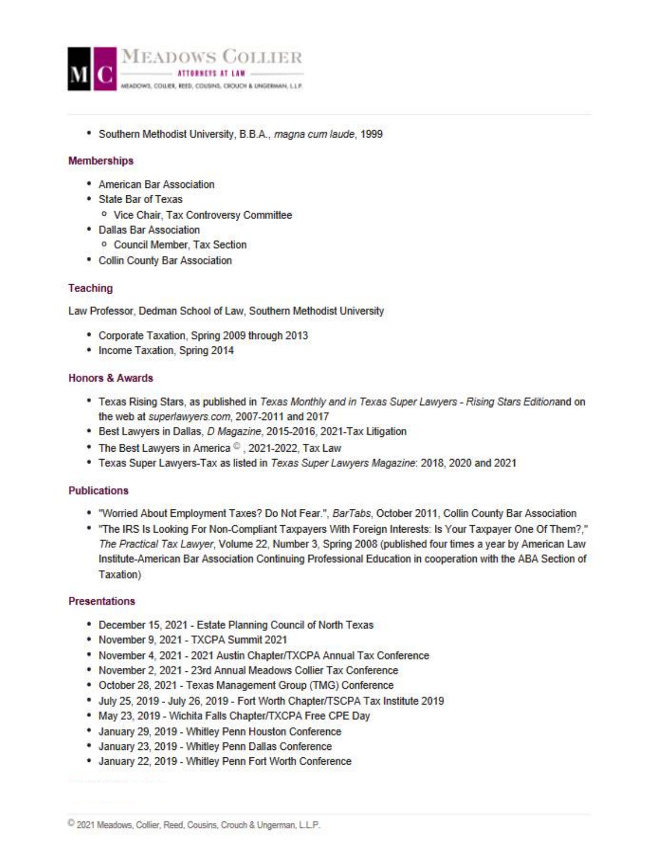

\* Southern Methodist University, B.B.A., magna cum laude, 1999

### **Memberships**

- American Bar Association
- State Bar of Texas
	- <sup>o</sup> Vice Chair, Tax Controversy Committee
- · Dallas Bar Association
	- <sup>o</sup> Council Member, Tax Section
- Collin County Bar Association

### Teaching

Law Professor, Dedman School of Law, Southern Methodist University

- Corporate Taxation, Spring 2009 through 2013
- Income Taxation, Spring 2014

### **Honors & Awards**

- \* Texas Rising Stars, as published in Texas Monthly and in Texas Super Lawyers Rising Stars Editionand on the web at superlawyers.com, 2007-2011 and 2017
- Best Lawyers in Dallas, D Magazine, 2015-2016, 2021-Tax Litigation
- \* The Best Lawyers in America C, 2021-2022, Tax Law
- \* Texas Super Lawyers-Tax as listed in Texas Super Lawyers Magazine: 2018, 2020 and 2021

#### **Publications**

- . "Worried About Employment Taxes? Do Not Fear.", BarTabs, October 2011, Collin County Bar Association
- \* "The IRS Is Looking For Non-Compliant Taxpayers With Foreign Interests: Is Your Taxpayer One Of Them?." The Practical Tax Lawyer, Volume 22, Number 3, Spring 2008 (published four times a year by American Law Institute-American Bar Association Continuing Professional Education in cooperation with the ABA Section of Taxation)

### **Presentations**

- December 15, 2021 Estate Planning Council of North Texas
- November 9, 2021 TXCPA Summit 2021
- \* November 4, 2021 2021 Austin Chapter/TXCPA Annual Tax Conference
- . November 2, 2021 23rd Annual Meadows Collier Tax Conference
- October 28, 2021 Texas Management Group (TMG) Conference
- . July 25, 2019 July 26, 2019 Fort Worth Chapter/TSCPA Tax Institute 2019
- . May 23, 2019 Wichita Falls Chapter/TXCPA Free CPE Day
- \* January 29, 2019 Whitley Penn Houston Conference
- . January 23, 2019 Whitley Penn Dallas Conference
- . January 22, 2019 Whitley Penn Fort Worth Conference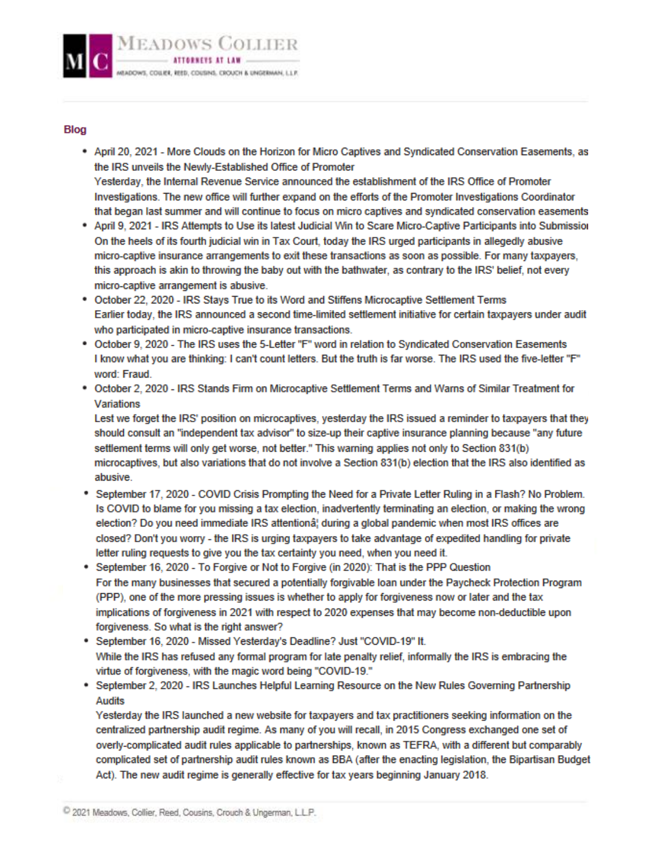

#### **Blog**

- April 20, 2021 More Clouds on the Horizon for Micro Captives and Syndicated Conservation Easements, as the IRS unveils the Newly-Established Office of Promoter Yesterday, the Internal Revenue Service announced the establishment of the IRS Office of Promoter Investigations. The new office will further expand on the efforts of the Promoter Investigations Coordinator that began last summer and will continue to focus on micro captives and syndicated conservation easements
- April 9, 2021 IRS Attempts to Use its latest Judicial Win to Scare Micro-Captive Participants into Submission On the heels of its fourth judicial win in Tax Court, today the IRS urged participants in allegedly abusive micro-captive insurance arrangements to exit these transactions as soon as possible. For many taxpayers, this approach is akin to throwing the baby out with the bathwater, as contrary to the IRS' belief, not every micro-captive arrangement is abusive.
- \* October 22, 2020 IRS Stays True to its Word and Stiffens Microcaptive Settlement Terms Earlier today, the IRS announced a second time-limited settlement initiative for certain taxpayers under audit who participated in micro-captive insurance transactions.
- . October 9, 2020 The IRS uses the 5-Letter "F" word in relation to Syndicated Conservation Easements I know what you are thinking: I can't count letters. But the truth is far worse. The IRS used the five-letter "F" word: Fraud.
- . October 2, 2020 IRS Stands Firm on Microcaptive Settlement Terms and Warns of Similar Treatment for **Variations**

Lest we forget the IRS' position on microcaptives, yesterday the IRS issued a reminder to taxpayers that they should consult an "independent tax advisor" to size-up their captive insurance planning because "any future settlement terms will only get worse, not better." This warning applies not only to Section 831(b) microcaptives, but also variations that do not involve a Section 831(b) election that the IRS also identified as abusive.

- \* September 17, 2020 COVID Crisis Prompting the Need for a Private Letter Ruling in a Flash? No Problem. Is COVID to blame for you missing a tax election, inadvertently terminating an election, or making the wrong election? Do you need immediate IRS attention⦠during a global pandemic when most IRS offices are closed? Don't you worry - the IRS is urging taxpayers to take advantage of expedited handling for private letter ruling requests to give you the tax certainty you need, when you need it.
- \* September 16, 2020 To Forgive or Not to Forgive (in 2020): That is the PPP Question For the many businesses that secured a potentially forgivable loan under the Paycheck Protection Program (PPP), one of the more pressing issues is whether to apply for forgiveness now or later and the tax implications of forgiveness in 2021 with respect to 2020 expenses that may become non-deductible upon forgiveness. So what is the right answer?
- \* September 16, 2020 Missed Yesterday's Deadline? Just "COVID-19" It. While the IRS has refused any formal program for late penalty relief, informally the IRS is embracing the virtue of forgiveness, with the magic word being "COVID-19."
- \* September 2, 2020 IRS Launches Helpful Learning Resource on the New Rules Governing Partnership Audits

Yesterday the IRS launched a new website for taxpayers and tax practitioners seeking information on the centralized partnership audit regime. As many of you will recall, in 2015 Congress exchanged one set of overly-complicated audit rules applicable to partnerships, known as TEFRA, with a different but comparably complicated set of partnership audit rules known as BBA (after the enacting legislation, the Bipartisan Budget Act). The new audit regime is generally effective for tax years beginning January 2018.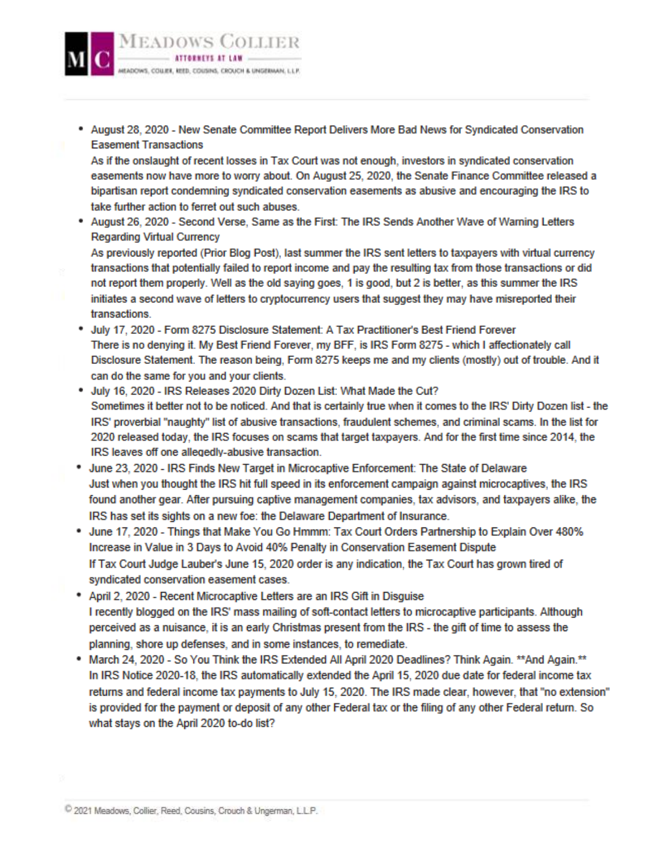

\* August 28, 2020 - New Senate Committee Report Delivers More Bad News for Syndicated Conservation **Easement Transactions** 

As if the onslaught of recent losses in Tax Court was not enough, investors in syndicated conservation easements now have more to worry about. On August 25, 2020, the Senate Finance Committee released a bipartisan report condemning syndicated conservation easements as abusive and encouraging the IRS to take further action to ferret out such abuses.

\* August 26, 2020 - Second Verse, Same as the First: The IRS Sends Another Wave of Warning Letters **Regarding Virtual Currency** 

As previously reported (Prior Blog Post), last summer the IRS sent letters to taxpayers with virtual currency transactions that potentially failed to report income and pay the resulting tax from those transactions or did not report them properly. Well as the old saying goes, 1 is good, but 2 is better, as this summer the IRS initiates a second wave of letters to cryptocurrency users that suggest they may have misreported their transactions.

- \* July 17, 2020 Form 8275 Disclosure Statement: A Tax Practitioner's Best Friend Forever There is no denying it. My Best Friend Forever, my BFF, is IRS Form 8275 - which I affectionately call Disclosure Statement. The reason being, Form 8275 keeps me and my clients (mostly) out of trouble. And it can do the same for you and your clients.
- . July 16, 2020 IRS Releases 2020 Dirty Dozen List: What Made the Cut? Sometimes it better not to be noticed. And that is certainly true when it comes to the IRS' Dirty Dozen list - the IRS' proverbial "naughty" list of abusive transactions, fraudulent schemes, and criminal scams. In the list for 2020 released today, the IRS focuses on scams that target taxpayers. And for the first time since 2014, the IRS leaves off one allegedly-abusive transaction.
- June 23, 2020 IRS Finds New Target in Microcaptive Enforcement: The State of Delaware Just when you thought the IRS hit full speed in its enforcement campaign against microcaptives, the IRS found another gear. After pursuing captive management companies, tax advisors, and taxpayers alike, the IRS has set its sights on a new foe: the Delaware Department of Insurance.
- \* June 17, 2020 Things that Make You Go Hmmm: Tax Court Orders Partnership to Explain Over 480% Increase in Value in 3 Days to Avoid 40% Penalty in Conservation Easement Dispute If Tax Court Judge Lauber's June 15, 2020 order is any indication, the Tax Court has grown tired of syndicated conservation easement cases.
- \* April 2, 2020 Recent Microcaptive Letters are an IRS Gift in Disguise I recently blogged on the IRS' mass mailing of soft-contact letters to microcaptive participants. Although perceived as a nuisance, it is an early Christmas present from the IRS - the gift of time to assess the planning, shore up defenses, and in some instances, to remediate.
- \* March 24, 2020 So You Think the IRS Extended All April 2020 Deadlines? Think Again, \*\*And Again, \*\* In IRS Notice 2020-18, the IRS automatically extended the April 15, 2020 due date for federal income tax returns and federal income tax payments to July 15, 2020. The IRS made clear, however, that "no extension" is provided for the payment or deposit of any other Federal tax or the filing of any other Federal return. So what stays on the April 2020 to-do list?